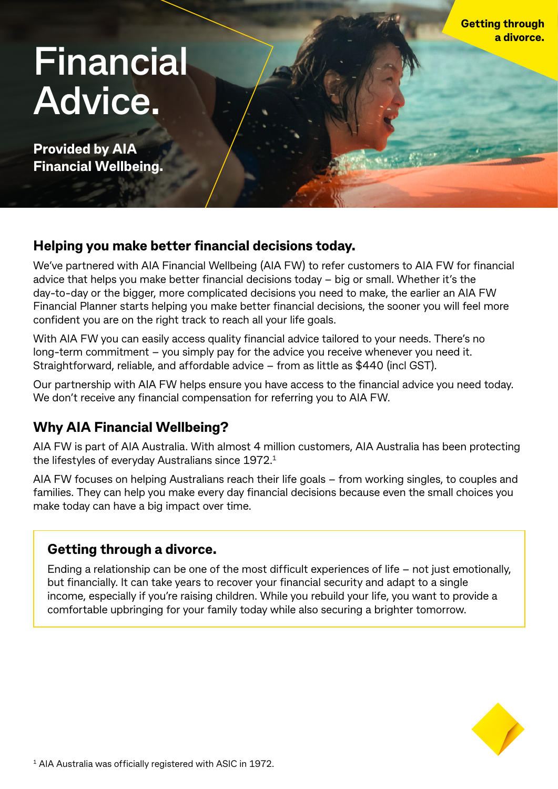# **Financial Advice.**

**Provided by AIA Financial Wellbeing.**

# **Helping you make better financial decisions today.**

We've partnered with AIA Financial Wellbeing (AIA FW) to refer customers to AIA FW for financial advice that helps you make better financial decisions today – big or small. Whether it's the day-to-day or the bigger, more complicated decisions you need to make, the earlier an AIA FW Financial Planner starts helping you make better financial decisions, the sooner you will feel more confident you are on the right track to reach all your life goals.

With AIA FW you can easily access quality financial advice tailored to your needs. There's no long-term commitment – you simply pay for the advice you receive whenever you need it. Straightforward, reliable, and affordable advice – from as little as \$440 (incl GST).

Our partnership with AIA FW helps ensure you have access to the financial advice you need today. We don't receive any financial compensation for referring you to AIA FW.

# **Why AIA Financial Wellbeing?**

AIA FW is part of AIA Australia. With almost 4 million customers, AIA Australia has been protecting the lifestyles of everyday Australians since 1972.1

AIA FW focuses on helping Australians reach their life goals – from working singles, to couples and families. They can help you make every day financial decisions because even the small choices you make today can have a big impact over time.

## **Getting through a divorce.**

Ending a relationship can be one of the most difficult experiences of life – not just emotionally, but financially. It can take years to recover your financial security and adapt to a single income, especially if you're raising children. While you rebuild your life, you want to provide a comfortable upbringing for your family today while also securing a brighter tomorrow.

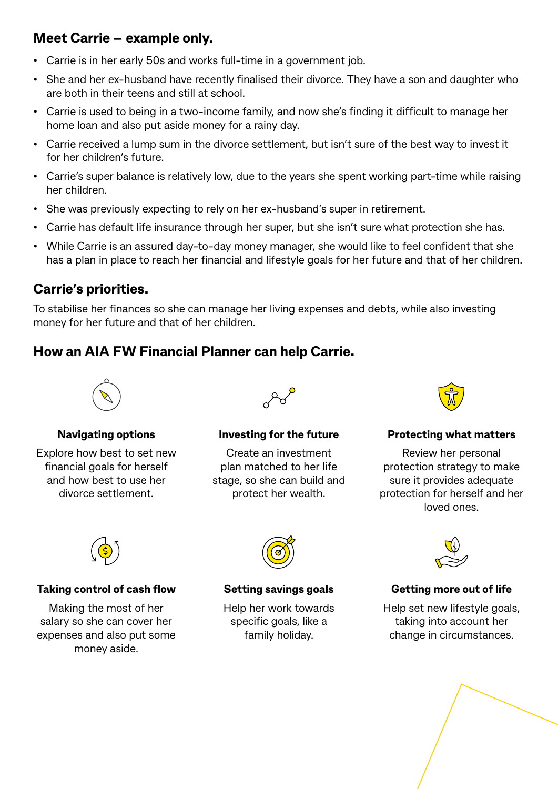# **Meet Carrie – example only.**

- Carrie is in her early 50s and works full-time in a government job.
- She and her ex-husband have recently finalised their divorce. They have a son and daughter who are both in their teens and still at school.
- Carrie is used to being in a two-income family, and now she's finding it difficult to manage her home loan and also put aside money for a rainy day.
- Carrie received a lump sum in the divorce settlement, but isn't sure of the best way to invest it for her children's future.
- Carrie's super balance is relatively low, due to the years she spent working part-time while raising her children.
- She was previously expecting to rely on her ex-husband's super in retirement.
- Carrie has default life insurance through her super, but she isn't sure what protection she has.
- While Carrie is an assured day-to-day money manager, she would like to feel confident that she has a plan in place to reach her financial and lifestyle goals for her future and that of her children.

# **Carrie's priorities.**

To stabilise her finances so she can manage her living expenses and debts, while also investing money for her future and that of her children.

# **How an AIA FW Financial Planner can help Carrie.**



#### **Navigating options**

Explore how best to set new financial goals for herself and how best to use her divorce settlement.



#### **Investing for the future**

Create an investment plan matched to her life stage, so she can build and protect her wealth.



#### **Protecting what matters**

Review her personal protection strategy to make sure it provides adequate protection for herself and her loved ones.



#### **Taking control of cash flow**

Making the most of her salary so she can cover her expenses and also put some money aside.



#### **Setting savings goals**

Help her work towards specific goals, like a family holiday.



### **Getting more out of life**

Help set new lifestyle goals, taking into account her change in circumstances.